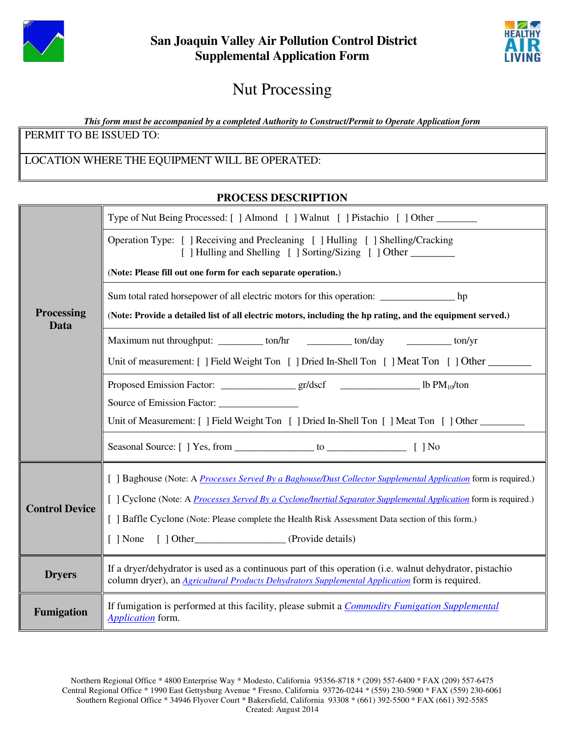



## Nut Processing

*This form must be accompanied by a completed Authority to Construct/Permit to Operate Application form*

PERMIT TO BE ISSUED TO:

## LOCATION WHERE THE EQUIPMENT WILL BE OPERATED:

## **PROCESS DESCRIPTION**

| <b>Processing</b><br>Data | Type of Nut Being Processed: [ ] Almond [ ] Walnut [ ] Pistachio [ ] Other                                                                                                                                       |  |  |
|---------------------------|------------------------------------------------------------------------------------------------------------------------------------------------------------------------------------------------------------------|--|--|
|                           | Operation Type: [ ] Receiving and Precleaning [ ] Hulling [ ] Shelling/Cracking<br>[ ] Hulling and Shelling [ ] Sorting/Sizing [ ] Other ________                                                                |  |  |
|                           | (Note: Please fill out one form for each separate operation.)                                                                                                                                                    |  |  |
|                           | Sum total rated horsepower of all electric motors for this operation: ___________________ hp                                                                                                                     |  |  |
|                           | (Note: Provide a detailed list of all electric motors, including the hp rating, and the equipment served.)                                                                                                       |  |  |
|                           | Maximum nut throughput: ___________ ton/hr ____________ ton/day ____________ ton/yr                                                                                                                              |  |  |
|                           | Unit of measurement: [ ] Field Weight Ton [ ] Dried In-Shell Ton [ ] Meat Ton [ ] Other                                                                                                                          |  |  |
|                           |                                                                                                                                                                                                                  |  |  |
|                           |                                                                                                                                                                                                                  |  |  |
|                           | Unit of Measurement: [ ] Field Weight Ton [ ] Dried In-Shell Ton [ ] Meat Ton [ ] Other                                                                                                                          |  |  |
|                           |                                                                                                                                                                                                                  |  |  |
| <b>Control Device</b>     | [ ] Baghouse (Note: A <i>Processes Served By a Baghouse/Dust Collector Supplemental Application</i> form is required.)                                                                                           |  |  |
|                           | [ ] Cyclone (Note: A <i>Processes Served By a Cyclone/Inertial Separator Supplemental Application</i> form is required.)                                                                                         |  |  |
|                           | [ ] Baffle Cyclone (Note: Please complete the Health Risk Assessment Data section of this form.)                                                                                                                 |  |  |
|                           | [ ] None [ ] Other (Provide details)                                                                                                                                                                             |  |  |
| <b>Dryers</b>             | If a dryer/dehydrator is used as a continuous part of this operation (i.e. walnut dehydrator, pistachio<br>column dryer), an <i>Agricultural Products Dehydrators Supplemental Application</i> form is required. |  |  |
| <b>Fumigation</b>         | If fumigation is performed at this facility, please submit a <i>Commodity Fumigation Supplemental</i><br>Application form.                                                                                       |  |  |